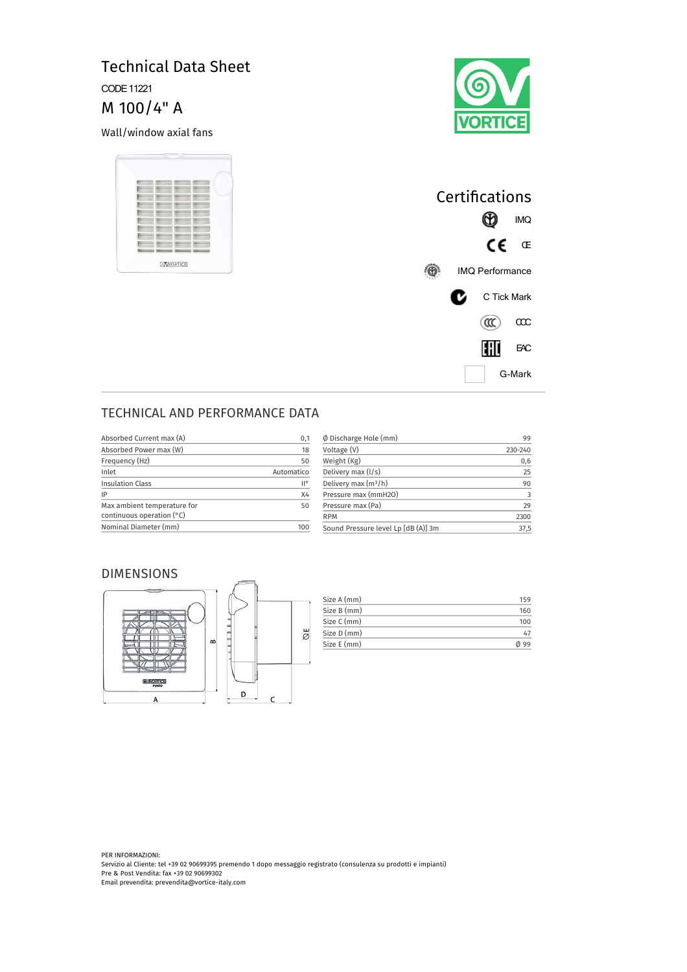# Technical Data Sheet CODE 11221

M 100/4" A

Wall/window axial fans





| Certifications         |   |             |        |
|------------------------|---|-------------|--------|
|                        |   |             | IMQ    |
|                        |   | CE          | Œ      |
| <b>IMQ Performance</b> |   |             |        |
|                        | C | C Tick Mark |        |
|                        |   | $(\alpha)$  | œс     |
|                        |   | EHD         | EАС    |
|                        |   |             | G-Mark |

## TECHNICAL AND PERFORMANCE DATA

| Absorbed Current max (A)                                   | 0,1        |
|------------------------------------------------------------|------------|
| Absorbed Power max (W)                                     | 18         |
| Frequency (Hz)                                             | 50         |
| Inlet                                                      | Automatico |
| <b>Insulation Class</b>                                    | II°        |
| IP                                                         | X4         |
| Max ambient temperature for<br>continuous operation $(°C)$ | 50         |
| Nominal Diameter (mm)                                      |            |

| Ø Discharge Hole (mm)               | 99      |
|-------------------------------------|---------|
| Voltage (V)                         | 230-240 |
| Weight (Kg)                         | 0,6     |
| Delivery max (I/s)                  | 25      |
| Delivery max $(m^3/h)$              | 90      |
| Pressure max (mmH2O)                | 3       |
| Pressure max (Pa)                   | 29      |
| <b>RPM</b>                          | 2300    |
| Sound Pressure level Lp [dB (A)] 3m | 37.5    |

#### DIMENSIONS



| Size A (mm) | 159  |
|-------------|------|
| Size B (mm) | 160  |
| Size C (mm) | 100  |
| Size D (mm) | 47   |
| Size E (mm) | ወ 99 |

PER INFORMAZIONI: Servizio al Cliente: tel +39 02 90699395 premendo 1 dopo messaggio registrato (consulenza su prodotti e impianti) Pre & Post Vendita: fax +39 02 90699302 Email prevendita: prevendita@vortice-italy.com